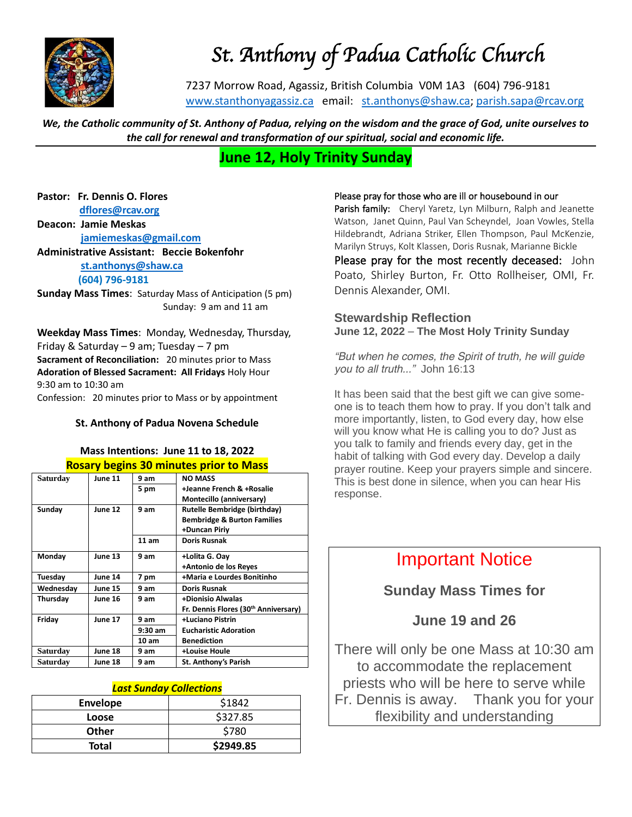

# *St. Anthony of Padua Catholic Church*

7237 Morrow Road, Agassiz, British Columbia V0M 1A3 (604) 796-9181 [www.stanthonyagassiz.ca](http://www.stanthonyagassiz.ca/) email: [st.anthonys@shaw.ca;](mailto:st.anthonys@shaw.ca) [parish.sapa@rcav.org](mailto:parish.sapa@rcav.org) 

*We, the Catholic community of St. Anthony of Padua, relying on the wisdom and the grace of God, unite ourselves to the call for renewal and transformation of our spiritual, social and economic life.*

## **June 12, Holy Trinity Sunday**

**Pastor: Fr. Dennis O. Flores [dflores@rcav.org](mailto:dflores@rcav.org)**

**Deacon: Jamie Meskas [jamiemeskas@gmail.com](mailto:jamiemeskas@gmail.com) Administrative Assistant: Beccie Bokenfohr [st.anthonys@shaw.ca](mailto:st.anthonys@shaw.ca) (604) 796-9181**

**Sunday Mass Times**: Saturday Mass of Anticipation (5 pm) Sunday: 9 am and 11 am

**Weekday Mass Times**: Monday, Wednesday, Thursday, Friday & Saturday – 9 am; Tuesday – 7 pm **Sacrament of Reconciliation:** 20 minutes prior to Mass **Adoration of Blessed Sacrament: All Fridays** Holy Hour 9:30 am to 10:30 am Confession: 20 minutes prior to Mass or by appointment

#### **St. Anthony of Padua Novena Schedule**

### **Mass Intentions: June 11 to 18, 2022 Rosary begins 30 minutes prior to Mass**

| Saturday  | <b>June 11</b> | 9 am      | <b>NO MASS</b>                         |
|-----------|----------------|-----------|----------------------------------------|
|           |                | 5 pm      | +Jeanne French & +Rosalie              |
|           |                |           | Montecillo (anniversary)               |
| Sunday    | June 12        | 9 am      | Rutelle Bembridge (birthday)           |
|           |                |           | <b>Bembridge &amp; Burton Families</b> |
|           |                |           | +Duncan Piriy                          |
|           |                | 11 am     | <b>Doris Rusnak</b>                    |
| Monday    | June 13        | 9 am      | +Lolita G. Oay                         |
|           |                |           | +Antonio de los Reyes                  |
| Tuesday   | June 14        | 7 pm      | +Maria e Lourdes Bonitinho             |
| Wednesday | <b>June 15</b> | 9 am      | <b>Doris Rusnak</b>                    |
| Thursday  | <b>June 16</b> | 9 am      | +Dionisio Alwalas                      |
|           |                |           | Fr. Dennis Flores (30th Anniversary)   |
| Friday    | June 17        | 9 am      | +Luciano Pistrin                       |
|           |                | $9:30$ am | <b>Eucharistic Adoration</b>           |
|           |                | 10 am     | <b>Benediction</b>                     |
| Saturday  | June 18        | 9 am      | +Louise Houle                          |
| Saturday  | June 18        | 9 am      | St. Anthony's Parish                   |

#### *Last Sunday Collections*

| <b>Envelope</b> | \$1842    |
|-----------------|-----------|
| Loose           | \$327.85  |
| <b>Other</b>    | \$780     |
| <b>Total</b>    | \$2949.85 |

#### Please pray for those who are ill or housebound in our

Parish family: Cheryl Yaretz, Lyn Milburn, Ralph and Jeanette Watson, Janet Quinn, Paul Van Scheyndel, Joan Vowles, Stella Hildebrandt, Adriana Striker, Ellen Thompson, Paul McKenzie, Marilyn Struys, Kolt Klassen, Doris Rusnak, Marianne Bickle

Please pray for the most recently deceased: John Poato, Shirley Burton, Fr. Otto Rollheiser, OMI, Fr. Dennis Alexander, OMI.

### **Stewardship Reflection June 12, 2022** – **The Most Holy Trinity Sunday**

*"But when he comes, the Spirit of truth, he will guide you to all truth..." John 16:13*

It has been said that the best gift we can give someone is to teach them how to pray. If you don't talk and more importantly, listen, to God every day, how else will you know what He is calling you to do? Just as you talk to family and friends every day, get in the habit of talking with God every day. Develop a daily prayer routine. Keep your prayers simple and sincere. This is best done in silence, when you can hear His response.

# Important Notice

**Sunday Mass Times for** 

## **June 19 and 26**

There will only be one Mass at 10:30 am to accommodate the replacement priests who will be here to serve while Fr. Dennis is away. Thank you for your flexibility and understanding